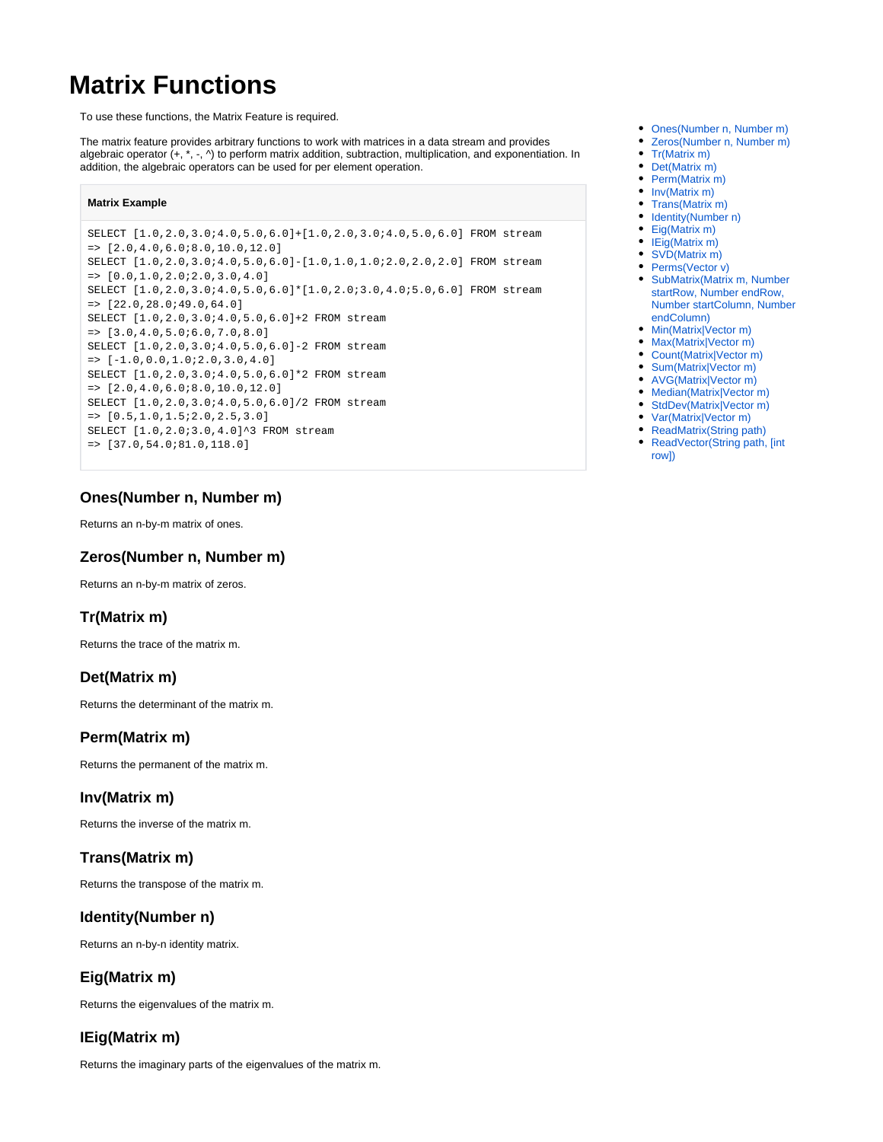# **Matrix Functions**

To use these functions, the Matrix Feature is required.

The matrix feature provides arbitrary functions to work with matrices in a data stream and provides algebraic operator (+, \*, -, ^) to perform matrix addition, subtraction, multiplication, and exponentiation. In addition, the algebraic operators can be used for per element operation.

#### **Matrix Example**

SELECT [1.0,2.0,3.0;4.0,5.0,6.0]+[1.0,2.0,3.0;4.0,5.0,6.0] FROM stream  $=$  >  $[2.0, 4.0, 6.0, 8.0, 10.0, 12.0]$ SELECT [1.0,2.0,3.0;4.0,5.0,6.0]-[1.0,1.0,1.0;2.0,2.0,2.0] FROM stream  $=$  >  $[0.0.1.0.2.0; 2.0.3.0.4.0]$ SELECT [1.0,2.0,3.0;4.0,5.0,6.0]\*[1.0,2.0;3.0,4.0;5.0,6.0] FROM stream => [22.0,28.0;49.0,64.0] SELECT [1.0,2.0,3.0;4.0,5.0,6.0]+2 FROM stream  $=$  >  $[3.0, 4.0, 5.0, 6.0, 7.0, 8.0]$ SELECT [1.0,2.0,3.0;4.0,5.0,6.0]-2 FROM stream  $=$  >  $[-1.0, 0.0, 1.0; 2.0, 3.0, 4.0]$ SELECT [1.0,2.0,3.0;4.0,5.0,6.0]\*2 FROM stream  $=$  >  $[2.0, 4.0, 6.0, 8.0, 10.0, 12.0]$ SELECT [1.0,2.0,3.0;4.0,5.0,6.0]/2 FROM stream  $=$  >  $[0.5, 1.0, 1.5; 2.0, 2.5, 3.0]$ SELECT  $[1.0, 2.0, 3.0, 4.0]$ <sup>2</sup>3 FROM stream => [37.0,54.0;81.0,118.0]

## <span id="page-0-0"></span>**Ones(Number n, Number m)**

Returns an n-by-m matrix of ones.

## <span id="page-0-1"></span>**Zeros(Number n, Number m)**

Returns an n-by-m matrix of zeros.

# <span id="page-0-2"></span>**Tr(Matrix m)**

Returns the trace of the matrix m.

# <span id="page-0-3"></span>**Det(Matrix m)**

Returns the determinant of the matrix m.

# <span id="page-0-4"></span>**Perm(Matrix m)**

Returns the permanent of the matrix m.

# <span id="page-0-5"></span>**Inv(Matrix m)**

Returns the inverse of the matrix m.

# <span id="page-0-6"></span>**Trans(Matrix m)**

Returns the transpose of the matrix m.

# <span id="page-0-7"></span>**Identity(Number n)**

Returns an n-by-n identity matrix.

# <span id="page-0-8"></span>**Eig(Matrix m)**

Returns the eigenvalues of the matrix m.

# <span id="page-0-9"></span>**IEig(Matrix m)**

<span id="page-0-10"></span>Returns the imaginary parts of the eigenvalues of the matrix m.

- [Ones\(Number n, Number m\)](#page-0-0)
- [Zeros\(Number n, Number m\)](#page-0-1)
- [Tr\(Matrix m\)](#page-0-2)
- [Det\(Matrix m\)](#page-0-3) [Perm\(Matrix m\)](#page-0-4) ٠
- [Inv\(Matrix m\)](#page-0-5)
- [Trans\(Matrix m\)](#page-0-6)
- [Identity\(Number n\)](#page-0-7)
- [Eig\(Matrix m\)](#page-0-8)
- [IEig\(Matrix m\)](#page-0-9)
- [SVD\(Matrix m\)](#page-0-10)
- [Perms\(Vector v\)](#page-1-0)
- [SubMatrix\(Matrix m, Number](#page-1-1)  [startRow, Number endRow,](#page-1-1)  [Number startColumn, Number](#page-1-1)  [endColumn\)](#page-1-1)
- [Min\(Matrix|Vector m\)](#page-1-2)
- [Max\(Matrix|Vector m\)](#page-1-3)
- [Count\(Matrix|Vector m\)](#page-1-4)
- [Sum\(Matrix|Vector m\)](#page-1-5)
- [AVG\(Matrix|Vector m\)](#page-1-6) • [Median\(Matrix|Vector m\)](#page-1-7)
- [StdDev\(Matrix|Vector m\)](#page-1-8)
- [Var\(Matrix|Vector m\)](#page-1-9)
- [ReadMatrix\(String path\)](#page-1-10)
- ReadVector(String path, [int [row\]\)](#page-1-11)